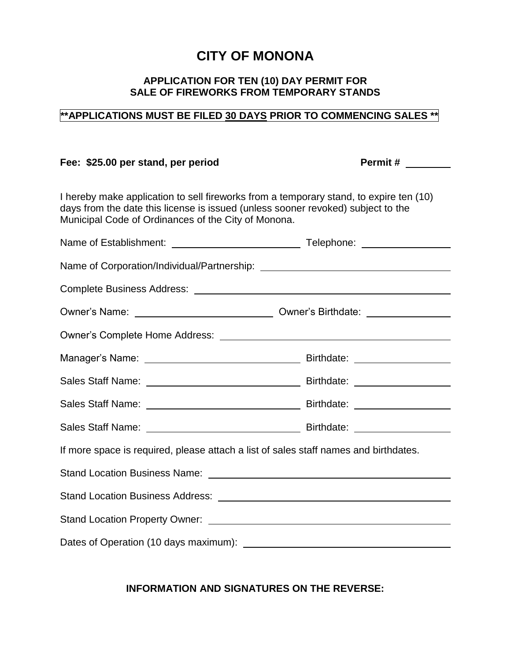## **CITY OF MONONA**

## **APPLICATION FOR TEN (10) DAY PERMIT FOR SALE OF FIREWORKS FROM TEMPORARY STANDS**

## **\*\*APPLICATIONS MUST BE FILED 30 DAYS PRIOR TO COMMENCING SALES \*\***

## Fee: \$25.00 per stand, per period Permit #

I hereby make application to sell fireworks from a temporary stand, to expire ten (10) days from the date this license is issued (unless sooner revoked) subject to the Municipal Code of Ordinances of the City of Monona.

| If more space is required, please attach a list of sales staff names and birthdates. |  |  |
|--------------------------------------------------------------------------------------|--|--|
|                                                                                      |  |  |
|                                                                                      |  |  |
|                                                                                      |  |  |
|                                                                                      |  |  |

**INFORMATION AND SIGNATURES ON THE REVERSE:**